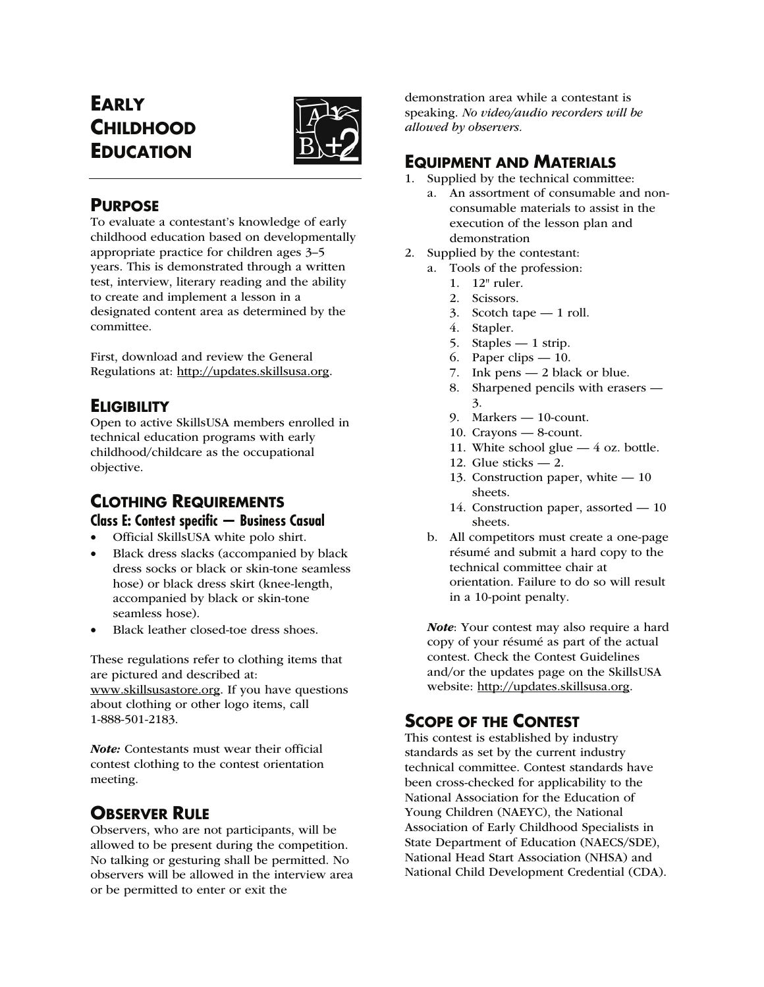# **EARLY CHILDHOOD EDUCATION**



# **PURPOSE**

To evaluate a contestant's knowledge of early childhood education based on developmentally appropriate practice for children ages 3–5 years. This is demonstrated through a written test, interview, literary reading and the ability to create and implement a lesson in a designated content area as determined by the committee.

First, download and review the General Regulations at: http://updates.skillsusa.org.

# **ELIGIBILITY**

Open to active SkillsUSA members enrolled in technical education programs with early childhood/childcare as the occupational objective.

# **CLOTHING REQUIREMENTS Class E: Contest specific — Business Casual**

- Official SkillsUSA white polo shirt.
- Black dress slacks (accompanied by black dress socks or black or skin-tone seamless hose) or black dress skirt (knee-length, accompanied by black or skin-tone seamless hose).
- Black leather closed-toe dress shoes.

These regulations refer to clothing items that are pictured and described at: www.skillsusastore.org. If you have questions about clothing or other logo items, call 1-888-501-2183.

Note: Contestants must wear their official contest clothing to the contest orientation meeting.

# **OBSERVER RULE**

Observers, who are not participants, will be allowed to be present during the competition. No talking or gesturing shall be permitted. No observers will be allowed in the interview area or be permitted to enter or exit the

demonstration area while a contestant is speaking. *No video/audio recorders will be allowed by observers.*

# **EQUIPMENT AND MATERIALS**

- 1. Supplied by the technical committee:
	- a. An assortment of consumable and nonconsumable materials to assist in the execution of the lesson plan and demonstration
- 2. Supplied by the contestant:
	- a. Tools of the profession:
		- 1. 12" ruler.
		- 2. Scissors.
		- 3. Scotch tape 1 roll.
		- 4. Stapler.
		- 5. Staples 1 strip.
		- 6. Paper clips 10.
		- 7. Ink pens 2 black or blue.
		- 8. Sharpened pencils with erasers 3.
		- 9. Markers 10-count.
		- 10. Crayons 8-count.
		- 11. White school glue 4 oz. bottle.
		- 12. Glue sticks 2.
		- 13. Construction paper, white 10 sheets.
		- 14. Construction paper, assorted 10 sheets.
	- b. All competitors must create a one-page résumé and submit a hard copy to the technical committee chair at orientation. Failure to do so will result in a 10-point penalty.

Note: Your contest may also require a hard copy of your résumé as part of the actual contest. Check the Contest Guidelines and/or the updates page on the SkillsUSA website: http://updates.skillsusa.org.

# **SCOPE OF THE CONTEST**

This contest is established by industry standards as set by the current industry technical committee. Contest standards have been cross-checked for applicability to the National Association for the Education of Young Children (NAEYC), the National Association of Early Childhood Specialists in State Department of Education (NAECS/SDE), National Head Start Association (NHSA) and National Child Development Credential (CDA).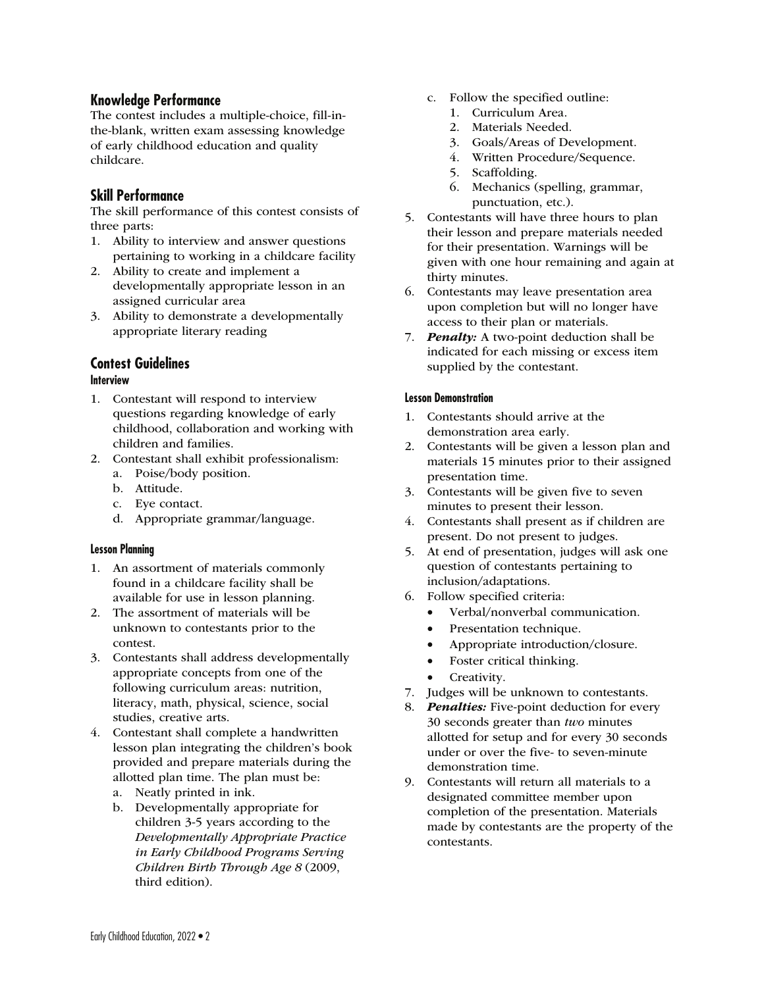# **Knowledge Performance**

The contest includes a multiple-choice, fill-inthe-blank, written exam assessing knowledge of early childhood education and quality childcare.

# **Skill Performance**

The skill performance of this contest consists of three parts:

- 1. Ability to interview and answer questions pertaining to working in a childcare facility
- 2. Ability to create and implement a developmentally appropriate lesson in an assigned curricular area
- 3. Ability to demonstrate a developmentally appropriate literary reading

# **Contest Guidelines**

### **Interview**

- 1. Contestant will respond to interview questions regarding knowledge of early childhood, collaboration and working with children and families.
- 2. Contestant shall exhibit professionalism:
	- a. Poise/body position.
	- b. Attitude.
	- c. Eye contact.
	- d. Appropriate grammar/language.

#### **Lesson Planning**

- 1. An assortment of materials commonly found in a childcare facility shall be available for use in lesson planning.
- 2. The assortment of materials will be unknown to contestants prior to the contest.
- 3. Contestants shall address developmentally appropriate concepts from one of the following curriculum areas: nutrition, literacy, math, physical, science, social studies, creative arts.
- 4. Contestant shall complete a handwritten lesson plan integrating the children's book provided and prepare materials during the allotted plan time. The plan must be:
	- a. Neatly printed in ink.
	- b. Developmentally appropriate for children 3-5 years according to the *Developmentally Appropriate Practice in Early Childhood Programs Serving Children Birth Through Age 8* (2009, third edition).
- c. Follow the specified outline:
	- 1. Curriculum Area.
	- 2. Materials Needed.
	- 3. Goals/Areas of Development.
	- 4. Written Procedure/Sequence.
	- 5. Scaffolding.
	- 6. Mechanics (spelling, grammar, punctuation, etc.).
- 5. Contestants will have three hours to plan their lesson and prepare materials needed for their presentation. Warnings will be given with one hour remaining and again at thirty minutes.
- 6. Contestants may leave presentation area upon completion but will no longer have access to their plan or materials.
- 7. **Penalty:** A two-point deduction shall be indicated for each missing or excess item supplied by the contestant.

#### **Lesson Demonstration**

- 1. Contestants should arrive at the demonstration area early.
- 2. Contestants will be given a lesson plan and materials 15 minutes prior to their assigned presentation time.
- 3. Contestants will be given five to seven minutes to present their lesson.
- 4. Contestants shall present as if children are present. Do not present to judges.
- 5. At end of presentation, judges will ask one question of contestants pertaining to inclusion/adaptations.
- 6. Follow specified criteria:
	- Verbal/nonverbal communication.
	- Presentation technique.
	- Appropriate introduction/closure.
	- Foster critical thinking.
	- Creativity.
- 7. Judges will be unknown to contestants.
- 8. **Penalties:** Five-point deduction for every 30 seconds greater than *two* minutes allotted for setup and for every 30 seconds under or over the five- to seven-minute demonstration time.
- 9. Contestants will return all materials to a designated committee member upon completion of the presentation. Materials made by contestants are the property of the contestants.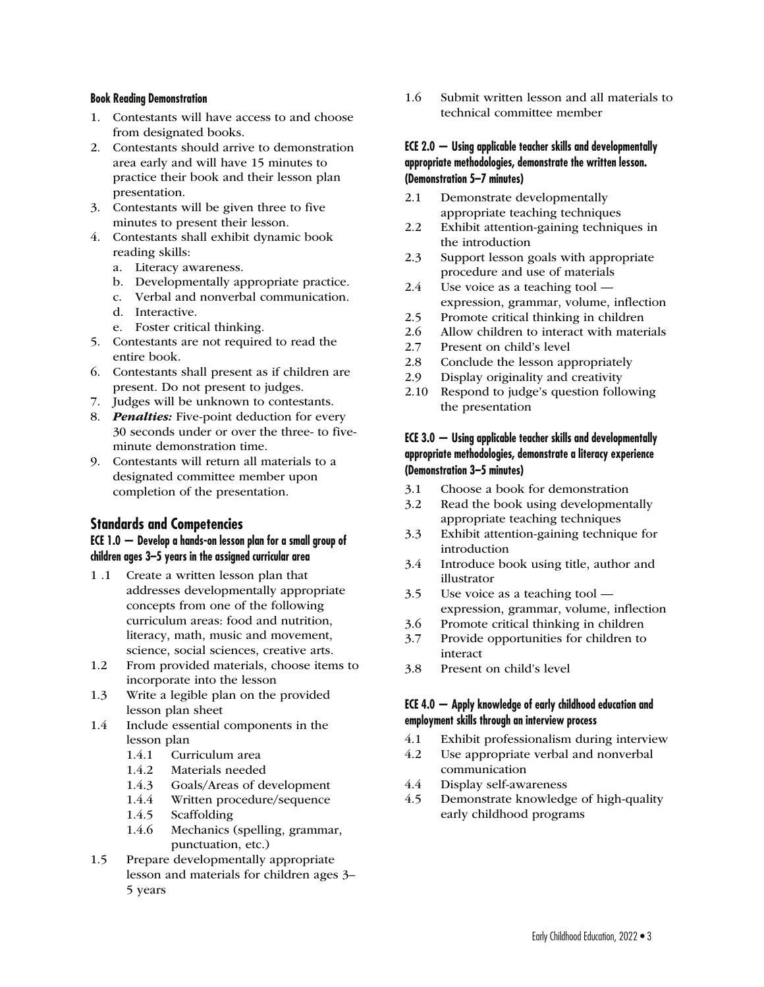#### **Book Reading Demonstration**

- 1. Contestants will have access to and choose from designated books.
- 2. Contestants should arrive to demonstration area early and will have 15 minutes to practice their book and their lesson plan presentation.
- 3. Contestants will be given three to five minutes to present their lesson.
- 4. Contestants shall exhibit dynamic book reading skills:
	- a. Literacy awareness.
	- b. Developmentally appropriate practice.
	- c. Verbal and nonverbal communication.
	- d. Interactive.
	- e. Foster critical thinking.
- 5. Contestants are not required to read the entire book.
- 6. Contestants shall present as if children are present. Do not present to judges.
- 7. Judges will be unknown to contestants.
- 8. **Penalties:** Five-point deduction for every 30 seconds under or over the three- to fiveminute demonstration time.
- 9. Contestants will return all materials to a designated committee member upon completion of the presentation.

# **Standards and Competencies**

#### **ECE 1.0 — Develop a hands-on lesson plan for a small group of children ages 3–5 years in the assigned curricular area**

- 1 .1 Create a written lesson plan that addresses developmentally appropriate concepts from one of the following curriculum areas: food and nutrition, literacy, math, music and movement, science, social sciences, creative arts.
- 1.2 From provided materials, choose items to incorporate into the lesson
- 1.3 Write a legible plan on the provided lesson plan sheet
- 1.4 Include essential components in the lesson plan
	- 1.4.1 Curriculum area
	- 1.4.2 Materials needed
	- 1.4.3 Goals/Areas of development
	- 1.4.4 Written procedure/sequence
	- 1.4.5 Scaffolding
	- 1.4.6 Mechanics (spelling, grammar, punctuation, etc.)
- 1.5 Prepare developmentally appropriate lesson and materials for children ages 3– 5 years

1.6 Submit written lesson and all materials to technical committee member

### **ECE 2.0 — Using applicable teacher skills and developmentally appropriate methodologies, demonstrate the written lesson. (Demonstration 5–7 minutes)**

- 2.1 Demonstrate developmentally appropriate teaching techniques
- 2.2 Exhibit attention-gaining techniques in the introduction
- 2.3 Support lesson goals with appropriate procedure and use of materials
- 2.4 Use voice as a teaching tool expression, grammar, volume, inflection
- 2.5 Promote critical thinking in children
- 2.6 Allow children to interact with materials
- 2.7 Present on child's level
- 2.8 Conclude the lesson appropriately
- 2.9 Display originality and creativity
- 2.10 Respond to judge's question following the presentation

# **ECE 3.0 — Using applicable teacher skills and developmentally appropriate methodologies, demonstrate a literacy experience (Demonstration 3–5 minutes)**

- 3.1 Choose a book for demonstration
- 3.2 Read the book using developmentally appropriate teaching techniques
- 3.3 Exhibit attention-gaining technique for introduction
- 3.4 Introduce book using title, author and illustrator
- 3.5 Use voice as a teaching tool expression, grammar, volume, inflection
- 3.6 Promote critical thinking in children
- 3.7 Provide opportunities for children to interact
- 3.8 Present on child's level

### **ECE 4.0 — Apply knowledge of early childhood education and employment skills through an interview process**

- 4.1 Exhibit professionalism during interview
- 4.2 Use appropriate verbal and nonverbal communication
- 4.4 Display self-awareness
- 4.5 Demonstrate knowledge of high-quality early childhood programs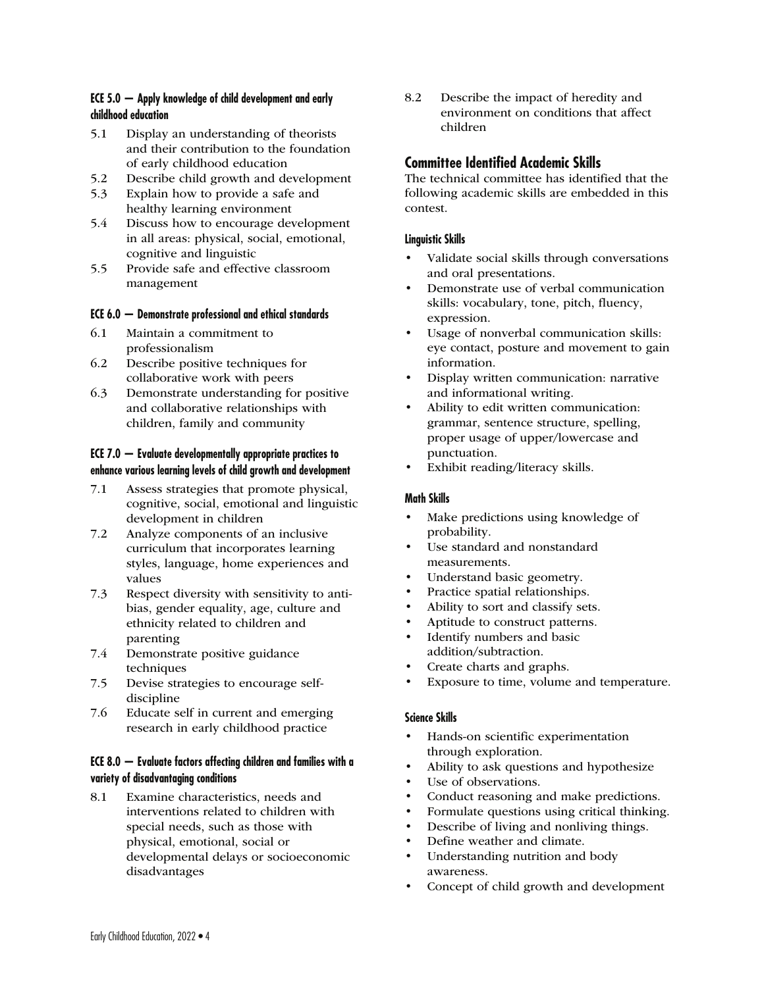# **ECE 5.0 — Apply knowledge of child development and early childhood education**

- 5.1 Display an understanding of theorists and their contribution to the foundation of early childhood education
- 5.2 Describe child growth and development
- 5.3 Explain how to provide a safe and healthy learning environment
- 5.4 Discuss how to encourage development in all areas: physical, social, emotional, cognitive and linguistic
- 5.5 Provide safe and effective classroom management

### **ECE 6.0 — Demonstrate professional and ethical standards**

- 6.1 Maintain a commitment to professionalism
- 6.2 Describe positive techniques for collaborative work with peers
- 6.3 Demonstrate understanding for positive and collaborative relationships with children, family and community

### **ECE 7.0 — Evaluate developmentally appropriate practices to enhance various learning levels of child growth and development**

- 7.1 Assess strategies that promote physical, cognitive, social, emotional and linguistic development in children
- 7.2 Analyze components of an inclusive curriculum that incorporates learning styles, language, home experiences and values
- 7.3 Respect diversity with sensitivity to antibias, gender equality, age, culture and ethnicity related to children and parenting
- 7.4 Demonstrate positive guidance techniques
- 7.5 Devise strategies to encourage selfdiscipline
- 7.6 Educate self in current and emerging research in early childhood practice

# **ECE 8.0 — Evaluate factors affecting children and families with a variety of disadvantaging conditions**

8.1 Examine characteristics, needs and interventions related to children with special needs, such as those with physical, emotional, social or developmental delays or socioeconomic disadvantages

8.2 Describe the impact of heredity and environment on conditions that affect children

# **Committee Identified Academic Skills**

The technical committee has identified that the following academic skills are embedded in this contest.

#### **Linguistic Skills**

- Validate social skills through conversations and oral presentations.
- Demonstrate use of verbal communication skills: vocabulary, tone, pitch, fluency, expression.
- Usage of nonverbal communication skills: eye contact, posture and movement to gain information.
- Display written communication: narrative and informational writing.
- Ability to edit written communication: grammar, sentence structure, spelling, proper usage of upper/lowercase and punctuation.
- Exhibit reading/literacy skills.

# **Math Skills**

- Make predictions using knowledge of probability.
- Use standard and nonstandard measurements.
- Understand basic geometry.
- Practice spatial relationships.
- Ability to sort and classify sets.
- Aptitude to construct patterns.<br>• Identify numbers and basic
- Identify numbers and basic addition/subtraction.
- Create charts and graphs.
- Exposure to time, volume and temperature.

# **Science Skills**

- Hands-on scientific experimentation through exploration.
- Ability to ask questions and hypothesize
- Use of observations.
- Conduct reasoning and make predictions.
- Formulate questions using critical thinking.
- Describe of living and nonliving things.
- Define weather and climate.
- Understanding nutrition and body awareness.
- Concept of child growth and development